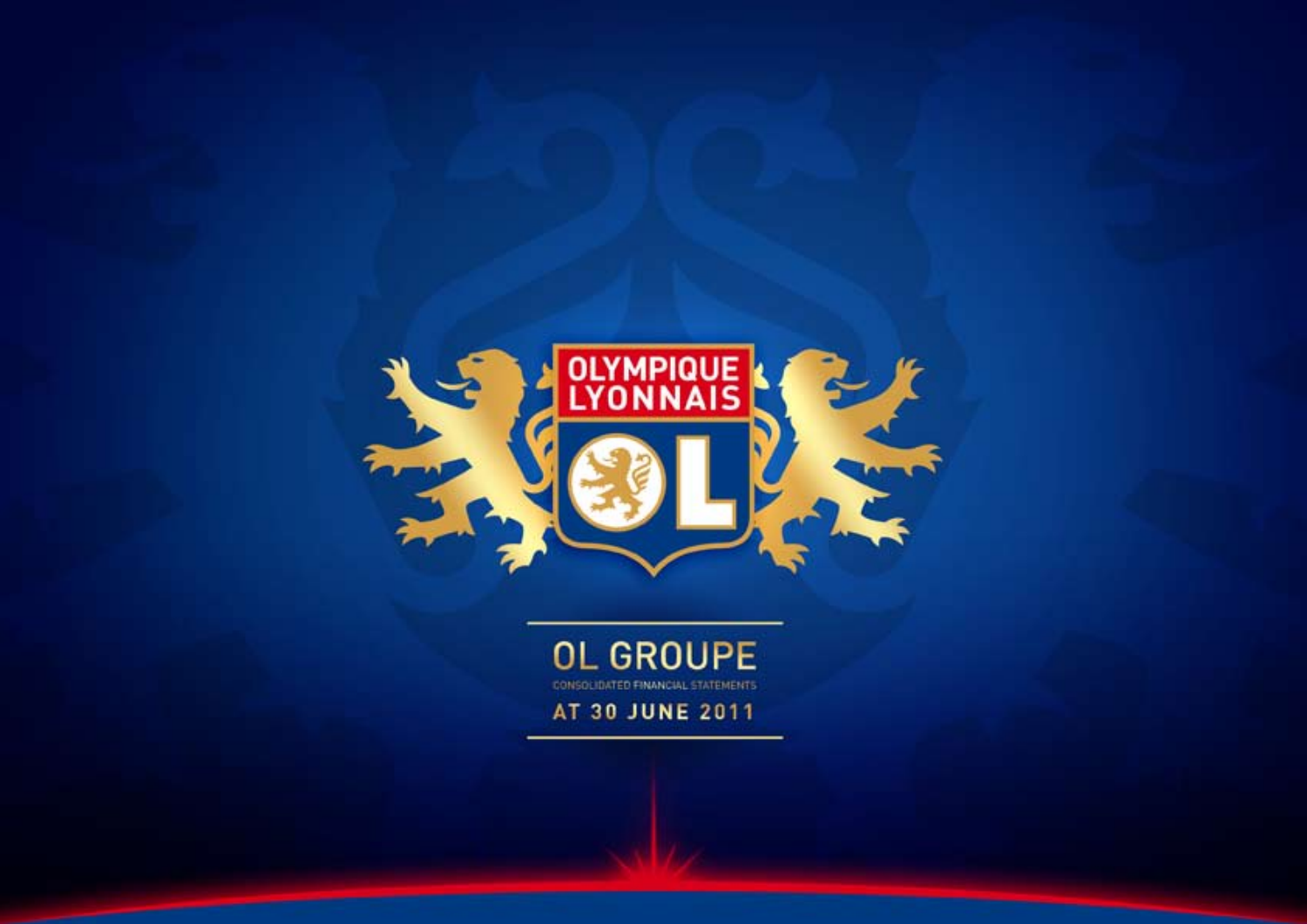

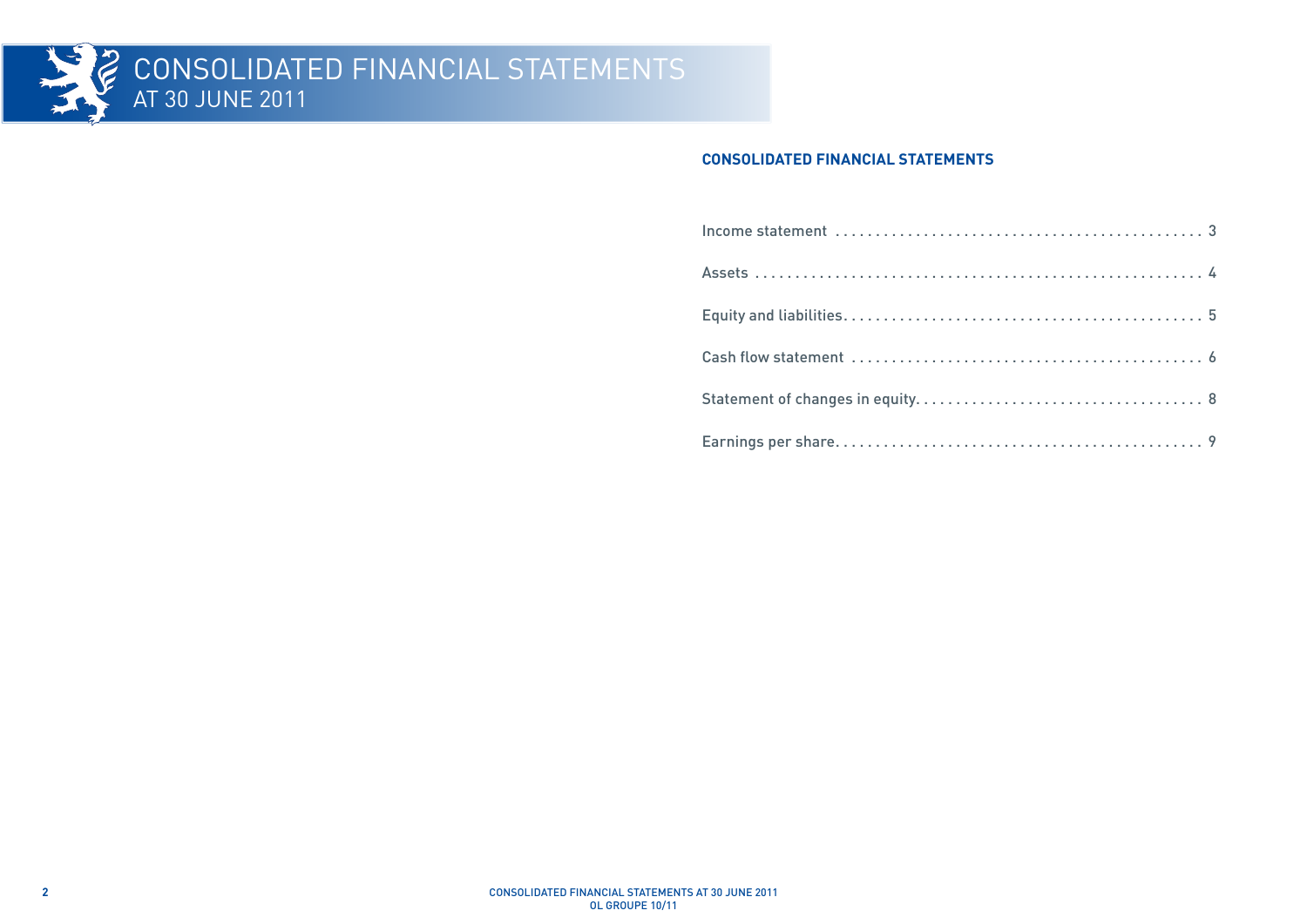

#### **CONSOLIDATED FINANCIAL STATEMENTS**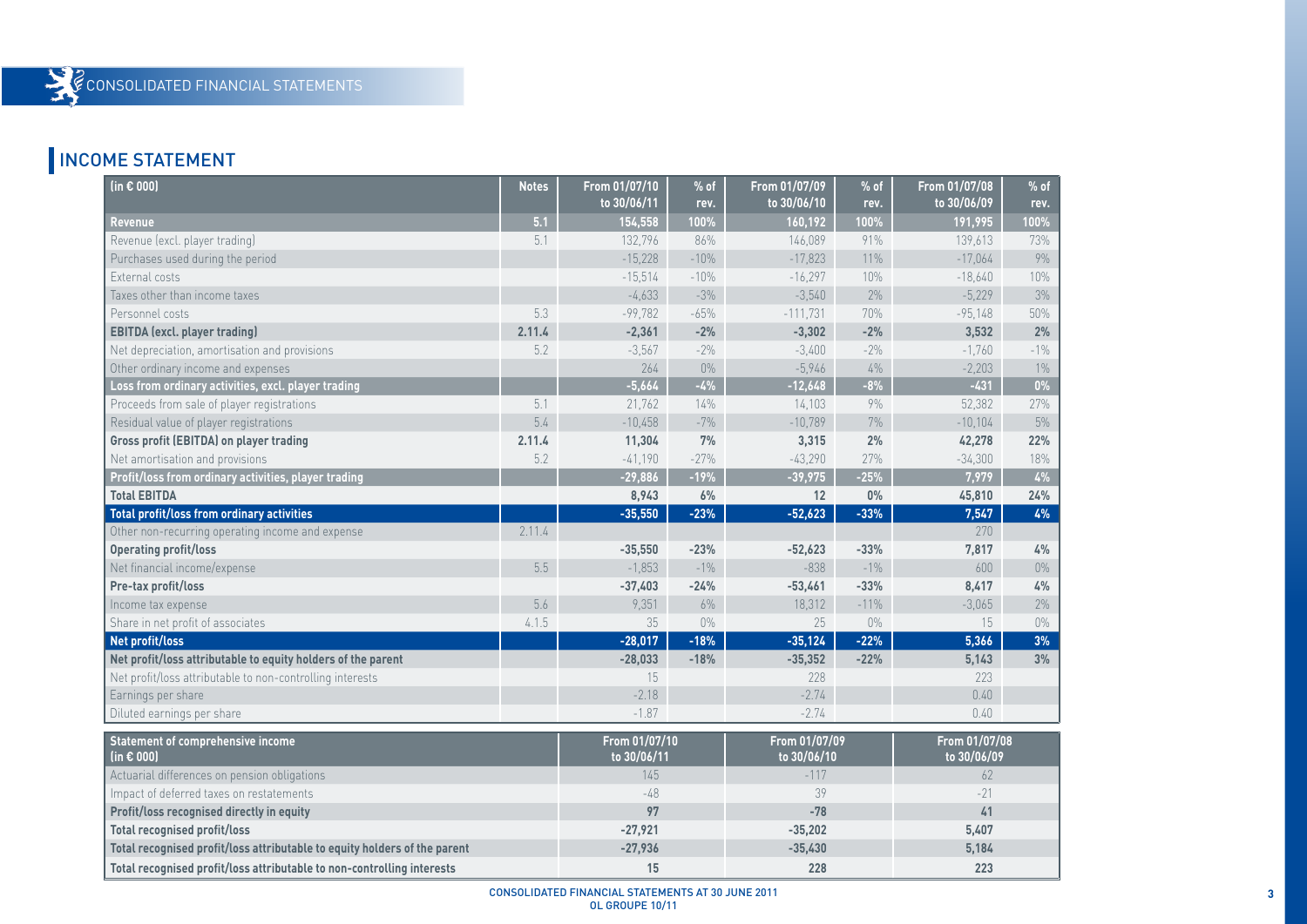# INCOME STATEMENT

| (in $\epsilon$ 000)                                                       | <b>Notes</b> | From 01/07/10<br>to 30/06/11 | % of<br>rev. | From 01/07/09<br>to 30/06/10 | $%$ of<br>rev. | From 01/07/08<br>to 30/06/09 | $%$ of<br>rev. |
|---------------------------------------------------------------------------|--------------|------------------------------|--------------|------------------------------|----------------|------------------------------|----------------|
| <b>Revenue</b>                                                            | 5.1          | 154,558                      | 100%         | 160,192                      | 100%           | 191,995                      | 100%           |
| Revenue (excl. player trading)                                            | 5.1          | 132,796                      | 86%          | 146,089                      | 91%            | 139,613                      | 73%            |
| Purchases used during the period                                          |              | $-15,228$                    | $-10%$       | $-17,823$                    | 11%            | $-17,064$                    | $9\%$          |
| External costs                                                            |              | $-15,514$                    | $-10%$       | $-16,297$                    | 10%            | $-18,640$                    | 10%            |
| Taxes other than income taxes                                             |              | $-4,633$                     | $-3%$        | $-3,540$                     | 2%             | $-5,229$                     | 3%             |
| Personnel costs                                                           | 5.3          | $-99,782$                    | $-65%$       | $-111,731$                   | 70%            | $-95,148$                    | 50%            |
| <b>EBITDA</b> (excl. player trading)                                      | 2.11.4       | $-2,361$                     | $-2%$        | $-3,302$                     | $-2%$          | 3,532                        | 2%             |
| Net depreciation, amortisation and provisions                             | 5.2          | $-3,567$                     | $-2%$        | $-3,400$                     | $-2%$          | $-1,760$                     | $-1\%$         |
| Other ordinary income and expenses                                        |              | 264                          | $0\%$        | $-5,946$                     | $4\%$          | $-2,203$                     | $1\%$          |
| Loss from ordinary activities, excl. player trading                       |              | $-5,664$                     | $-4%$        | $-12,648$                    | $-8%$          | $-431$                       | $0\%$          |
| Proceeds from sale of player registrations                                | 5.1          | 21,762                       | 14%          | 14,103                       | 9%             | 52,382                       | 27%            |
| Residual value of player registrations                                    | 5.4          | $-10,458$                    | $-7%$        | $-10,789$                    | 7%             | $-10,104$                    | $5\%$          |
| <b>Gross profit (EBITDA) on player trading</b>                            | 2.11.4       | 11,304                       | 7%           | 3,315                        | 2%             | 42,278                       | 22%            |
| Net amortisation and provisions                                           | 5.2          | $-41,190$                    | $-27%$       | $-43,290$                    | 27%            | $-34,300$                    | 18%            |
| Profit/loss from ordinary activities, player trading                      |              | $-29,886$                    | $-19%$       | $-39,975$                    | $-25%$         | 7,979                        | $4\%$          |
| <b>Total EBITDA</b>                                                       |              | 8,943                        | 6%           | 12                           | $0\%$          | 45,810                       | 24%            |
| Total profit/loss from ordinary activities                                |              | $-35,550$                    | $-23%$       | $-52,623$                    | $-33%$         | 7,547                        | 4%             |
| Other non-recurring operating income and expense                          | 2.11.4       |                              |              |                              |                | 270                          |                |
| <b>Operating profit/loss</b>                                              |              | $-35,550$                    | $-23%$       | $-52,623$                    | $-33%$         | 7,817                        | 4%             |
| Net financial income/expense                                              | 5.5          | $-1,853$                     | $-1\%$       | $-838$                       | $-1\%$         | 600                          | $0\%$          |
| Pre-tax profit/loss                                                       |              | $-37,403$                    | $-24%$       | $-53,461$                    | $-33%$         | 8,417                        | 4%             |
| Income tax expense                                                        | 5.6          | 9,351                        | $6\%$        | 18,312                       | $-11%$         | $-3,065$                     | $2\%$          |
| Share in net profit of associates                                         | 4.1.5        | 35                           | $0\%$        | 25                           | $0\%$          | 15                           | $0\%$          |
| Net profit/loss                                                           |              | $-28,017$                    | $-18%$       | $-35,124$                    | $-22%$         | 5,366                        | 3%             |
| Net profit/loss attributable to equity holders of the parent              |              | $-28,033$                    | $-18%$       | $-35,352$                    | $-22%$         | 5,143                        | 3%             |
| Net profit/loss attributable to non-controlling interests                 |              | 15                           |              | 228                          |                | 223                          |                |
| Earnings per share                                                        |              | $-2.18$                      |              | $-2.74$                      |                | 0.40                         |                |
| Diluted earnings per share                                                |              | $-1.87$                      |              | $-2.74$                      |                | 0.40                         |                |
| Statement of comprehensive income<br>(in $\epsilon$ 000)                  |              | From 01/07/10<br>to 30/06/11 |              | From 01/07/09<br>to 30/06/10 |                | From 01/07/08<br>to 30/06/09 |                |
| Actuarial differences on pension obligations                              |              | 145                          |              | $-117$                       |                | 62                           |                |
| Impact of deferred taxes on restatements                                  |              | $-48$                        |              | 39                           |                | $-21$                        |                |
| Profit/loss recognised directly in equity                                 |              | 97                           |              | $-78$                        |                | 41                           |                |
| <b>Total recognised profit/loss</b>                                       |              | $-27,921$                    |              | $-35,202$                    |                | 5,407                        |                |
| Total recognised profit/loss attributable to equity holders of the parent |              | $-27,936$                    |              | $-35,430$                    |                | 5,184                        |                |
| Total recognised profit/loss attributable to non-controlling interests    |              | 15                           |              | 228                          |                | 223                          |                |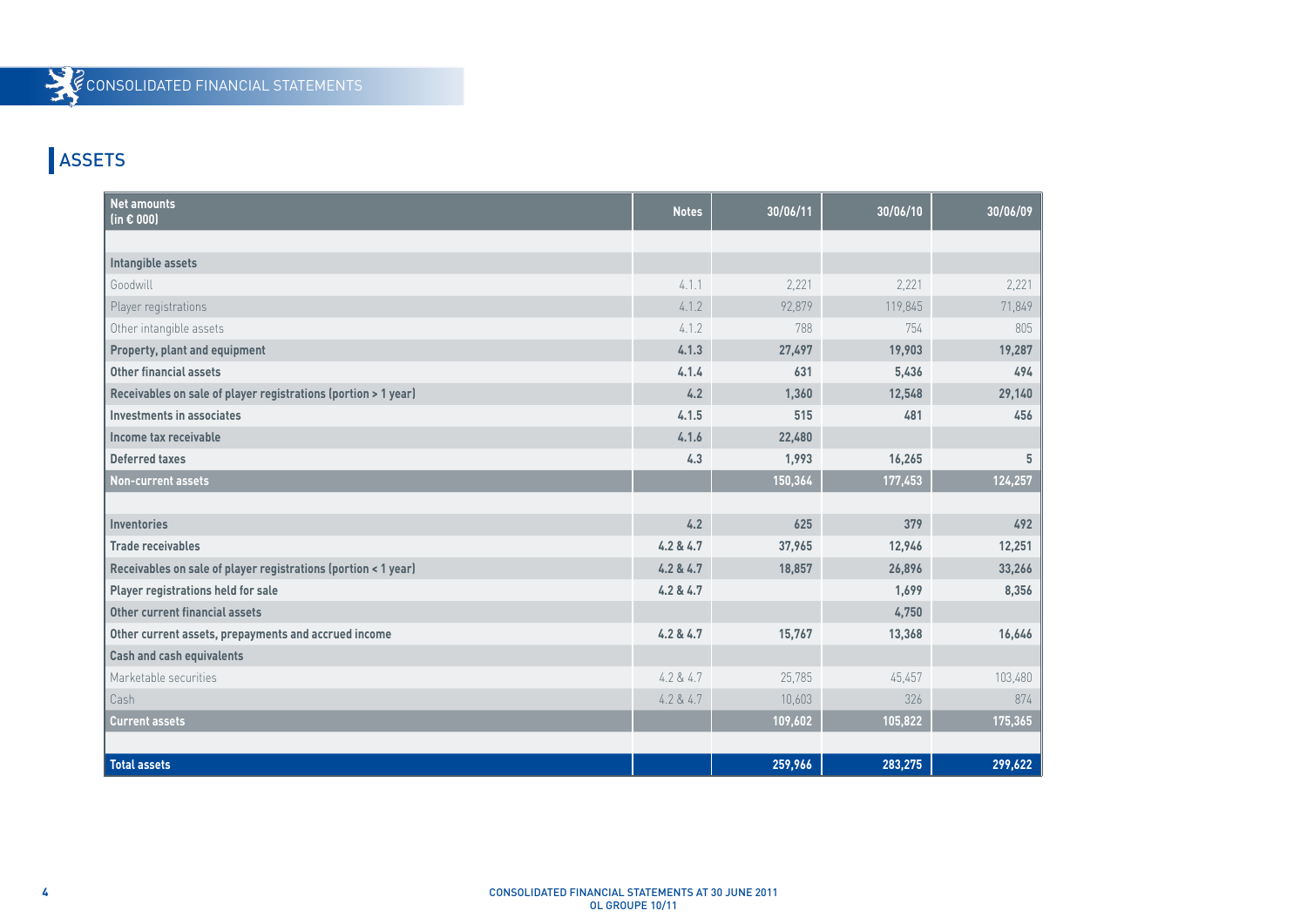# **ASSETS**

| <b>Net amounts</b><br>(in $\epsilon$ 000)                      | <b>Notes</b> | 30/06/11 | 30/06/10 | 30/06/09 |
|----------------------------------------------------------------|--------------|----------|----------|----------|
|                                                                |              |          |          |          |
| Intangible assets                                              |              |          |          |          |
| Goodwill                                                       | 4.1.1        | 2,221    | 2,221    | 2,221    |
| Player registrations                                           | 4.1.2        | 92,879   | 119,845  | 71,849   |
| Other intangible assets                                        | 4.1.2        | 788      | 754      | 805      |
| Property, plant and equipment                                  | 4.1.3        | 27,497   | 19,903   | 19,287   |
| Other financial assets                                         | 4.1.4        | 631      | 5,436    | 494      |
| Receivables on sale of player registrations (portion > 1 year) | 4.2          | 1,360    | 12,548   | 29,140   |
| Investments in associates                                      | 4.1.5        | 515      | 481      | 456      |
| Income tax receivable                                          | 4.1.6        | 22,480   |          |          |
| <b>Deferred taxes</b>                                          | 4.3          | 1,993    | 16,265   | 5        |
| <b>Non-current assets</b>                                      |              | 150,364  | 177,453  | 124,257  |
|                                                                |              |          |          |          |
| <b>Inventories</b>                                             | 4.2          | 625      | 379      | 492      |
| <b>Trade receivables</b>                                       | 4.2 & 4.7    | 37,965   | 12,946   | 12,251   |
| Receivables on sale of player registrations (portion < 1 year) | 4.2 & 4.7    | 18,857   | 26,896   | 33,266   |
| Player registrations held for sale                             | 4.2 & 4.7    |          | 1,699    | 8,356    |
| Other current financial assets                                 |              |          | 4,750    |          |
| Other current assets, prepayments and accrued income           | 4.2 & 4.7    | 15,767   | 13,368   | 16,646   |
| <b>Cash and cash equivalents</b>                               |              |          |          |          |
| Marketable securities                                          | 4.2 & 4.7    | 25,785   | 45,457   | 103,480  |
| Cash                                                           | 4.2 & 4.7    | 10,603   | 326      | 874      |
| <b>Current assets</b>                                          |              | 109,602  | 105,822  | 175,365  |
|                                                                |              |          |          |          |
| <b>Total assets</b>                                            |              | 259,966  | 283,275  | 299,622  |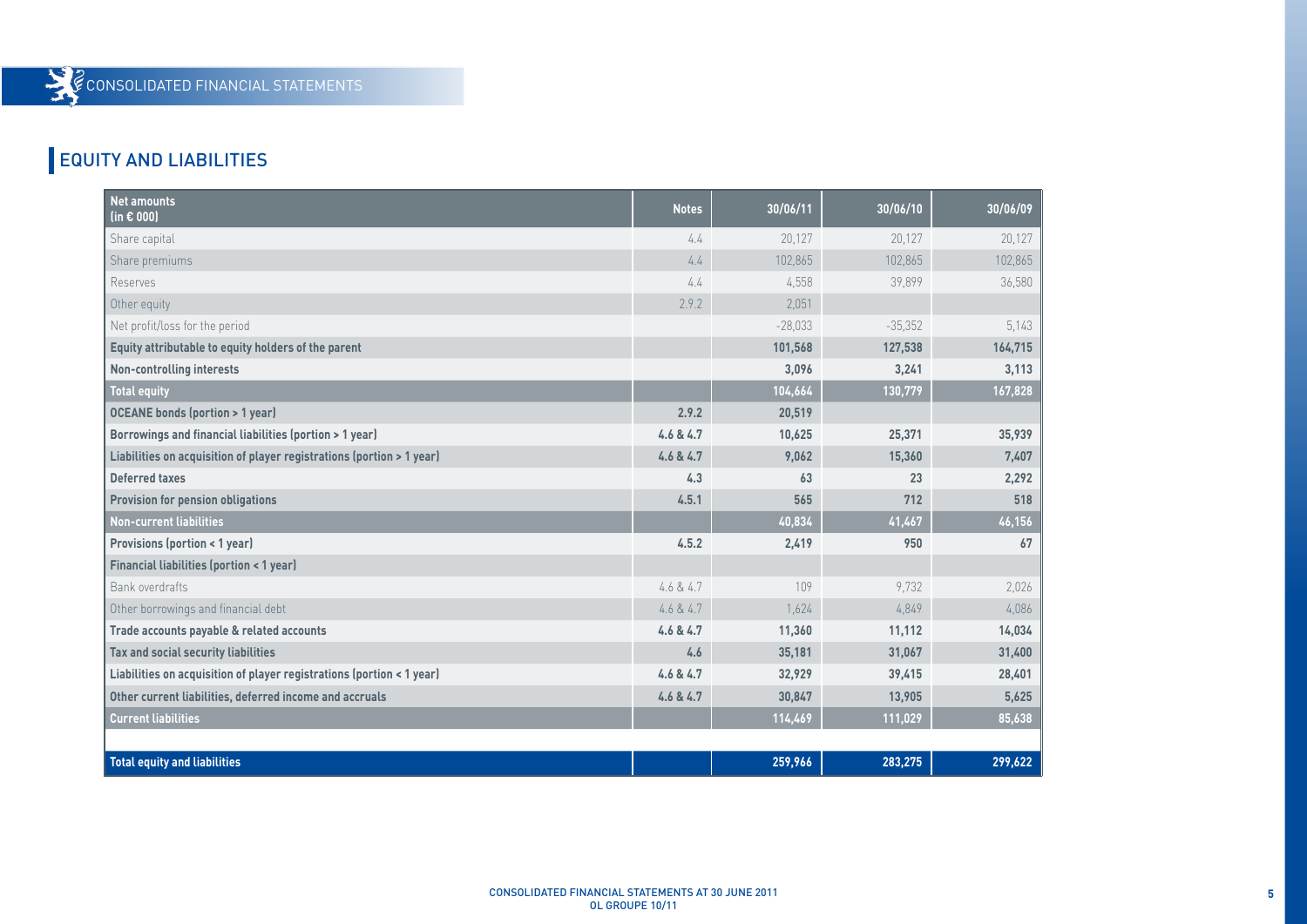# EQUITY AND LIABILITIES

| <b>Net amounts</b><br>(in $\epsilon$ 000)                             | <b>Notes</b> | 30/06/11  | 30/06/10  | 30/06/09 |
|-----------------------------------------------------------------------|--------------|-----------|-----------|----------|
| Share capital                                                         | 4.4          | 20,127    | 20,127    | 20,127   |
| Share premiums                                                        | 4.4          | 102,865   | 102,865   | 102,865  |
| Reserves                                                              | 4.4          | 4,558     | 39,899    | 36,580   |
| Other equity                                                          | 2.9.2        | 2,051     |           |          |
| Net profit/loss for the period                                        |              | $-28,033$ | $-35,352$ | 5,143    |
| Equity attributable to equity holders of the parent                   |              | 101,568   | 127,538   | 164,715  |
| <b>Non-controlling interests</b>                                      |              | 3,096     | 3,241     | 3,113    |
| <b>Total equity</b>                                                   |              | 104,664   | 130,779   | 167,828  |
| <b>OCEANE bonds (portion &gt; 1 year)</b>                             | 2.9.2        | 20,519    |           |          |
| Borrowings and financial liabilities (portion > 1 year)               | 4.6 & 4.7    | 10,625    | 25,371    | 35,939   |
| Liabilities on acquisition of player registrations (portion > 1 year) | 4.6 & 4.7    | 9,062     | 15,360    | 7,407    |
| <b>Deferred taxes</b>                                                 | 4.3          | 63        | 23        | 2,292    |
| <b>Provision for pension obligations</b>                              | 4.5.1        | 565       | 712       | 518      |
| <b>Non-current liabilities</b>                                        |              | 40,834    | 41,467    | 46,156   |
| <b>Provisions (portion &lt; 1 year)</b>                               | 4.5.2        | 2,419     | 950       | 67       |
| <b>Financial liabilities (portion &lt; 1 year)</b>                    |              |           |           |          |
| Bank overdrafts                                                       | 4.6 & 4.7    | 109       | 9,732     | 2,026    |
| Other borrowings and financial debt                                   | 4.6 & 4.7    | 1.624     | 4,849     | 4,086    |
| Trade accounts payable & related accounts                             | 4.6 & 4.7    | 11,360    | 11,112    | 14,034   |
| Tax and social security liabilities                                   | 4.6          | 35,181    | 31,067    | 31,400   |
| Liabilities on acquisition of player registrations (portion < 1 year) | 4.6 & 4.7    | 32,929    | 39,415    | 28,401   |
| Other current liabilities, deferred income and accruals               | 4.6 & 4.7    | 30,847    | 13,905    | 5,625    |
| <b>Current liabilities</b>                                            |              | 114,469   | 111,029   | 85,638   |
|                                                                       |              |           |           |          |
| <b>Total equity and liabilities</b>                                   |              | 259,966   | 283,275   | 299,622  |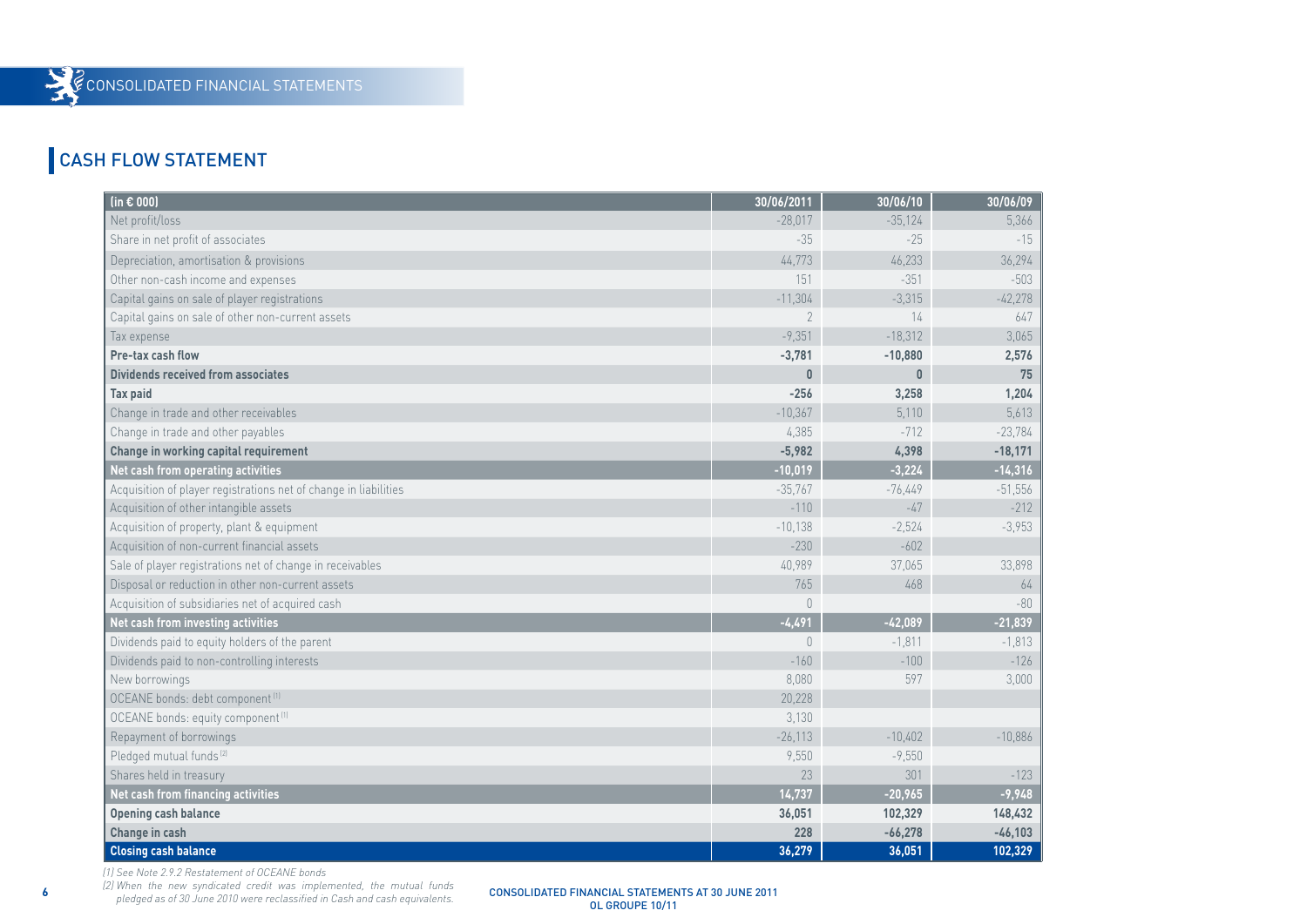### CASH FLOW STATEMENT

| (in $\epsilon$ 000)                                              | 30/06/2011     | 30/06/10     | 30/06/09  |
|------------------------------------------------------------------|----------------|--------------|-----------|
| Net profit/loss                                                  | $-28,017$      | $-35,124$    | 5,366     |
| Share in net profit of associates                                | $-35$          | $-25$        | $-15$     |
| Depreciation, amortisation & provisions                          | 44,773         | 46,233       | 36,294    |
| Other non-cash income and expenses                               | 151            | $-351$       | $-503$    |
| Capital gains on sale of player registrations                    | $-11,304$      | $-3,315$     | $-42,278$ |
| Capital gains on sale of other non-current assets                | $\sqrt{2}$     | 14           | 647       |
| Tax expense                                                      | $-9,351$       | $-18,312$    | 3,065     |
| Pre-tax cash flow                                                | $-3,781$       | $-10,880$    | 2,576     |
| <b>Dividends received from associates</b>                        | $\bf{0}$       | $\mathbf{0}$ | 75        |
| <b>Tax paid</b>                                                  | $-256$         | 3,258        | 1,204     |
| Change in trade and other receivables                            | $-10,367$      | 5,110        | 5,613     |
| Change in trade and other payables                               | 4,385          | $-712$       | $-23,784$ |
| Change in working capital requirement                            | $-5,982$       | 4,398        | $-18,171$ |
| Net cash from operating activities                               | $-10,019$      | $-3,224$     | $-14,316$ |
| Acquisition of player registrations net of change in liabilities | $-35,767$      | $-76,449$    | $-51,556$ |
| Acquisition of other intangible assets                           | $-110$         | $-47$        | $-212$    |
| Acquisition of property, plant & equipment                       | $-10,138$      | $-2,524$     | $-3,953$  |
| Acquisition of non-current financial assets                      | $-230$         | $-602$       |           |
| Sale of player registrations net of change in receivables        | 40,989         | 37,065       | 33,898    |
| Disposal or reduction in other non-current assets                | 765            | 468          | $64$      |
| Acquisition of subsidiaries net of acquired cash                 | $\theta$       |              | $-80$     |
| Net cash from investing activities                               | $-4,491$       | $-42,089$    | $-21,839$ |
| Dividends paid to equity holders of the parent                   | $\overline{0}$ | $-1,811$     | $-1,813$  |
| Dividends paid to non-controlling interests                      | $-160$         | $-100$       | $-126$    |
| New borrowings                                                   | 8,080          | 597          | 3,000     |
| OCEANE bonds: debt component <sup>(1)</sup>                      | 20,228         |              |           |
| OCEANE bonds: equity component [1]                               | 3,130          |              |           |
| Repayment of borrowings                                          | $-26,113$      | $-10,402$    | $-10,886$ |
| Pledged mutual funds <sup>(2)</sup>                              | 9,550          | $-9,550$     |           |
| Shares held in treasury                                          | 23             | 301          | $-123$    |
| Net cash from financing activities                               | 14,737         | $-20,965$    | $-9,948$  |
| <b>Opening cash balance</b>                                      | 36,051         | 102,329      | 148,432   |
| Change in cash                                                   | 228            | $-66,278$    | $-46,103$ |
| <b>Closing cash balance</b>                                      | 36,279         | 36,051       | 102,329   |

*(1) See Note 2.9.2 Restatement of OCEANE bonds*

**6** CONSOLIDATED FINANCIAL STATEMENTS AT 30 JUNE 2011 *(2) When the new syndicated credit was implemented, the mutual funds pledged as of 30 June 2010 were reclassified in Cash and cash equivalents.*

OL GROUPE 10/11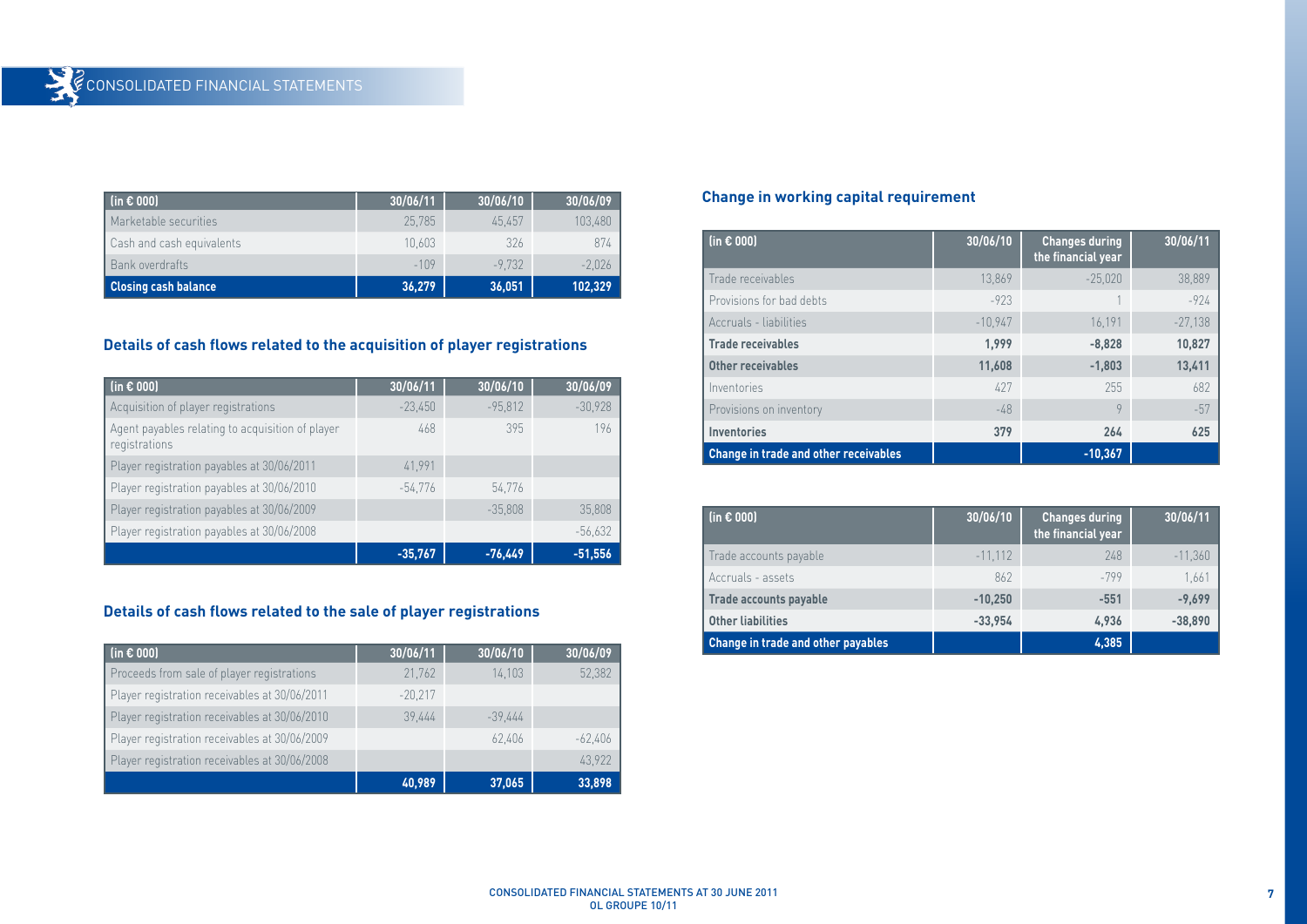| $(in \in 000)$              | 30/06/11 | 30/06/10 | 30/06/09 |
|-----------------------------|----------|----------|----------|
| Marketable securities       | 25,785   | 45.457   | 103,480  |
| Cash and cash equivalents   | 10.603   | 326      | 874      |
| Bank overdrafts             | $-109$   | $-9.732$ | $-2,026$ |
| <b>Closing cash balance</b> | 36,279   | 36,051   | 102,329  |

### **Details of cash flows related to the acquisition of player registrations**

| (in $\epsilon$ 000)                                               | 30/06/11  | 30/06/10  | 30/06/09  |
|-------------------------------------------------------------------|-----------|-----------|-----------|
| Acquisition of player registrations                               | $-23,450$ | $-95,812$ | $-30,928$ |
| Agent payables relating to acquisition of player<br>registrations | 468       | 395       | 196       |
| Player registration payables at 30/06/2011                        | 41,991    |           |           |
| Player registration payables at 30/06/2010                        | $-54.776$ | 54.776    |           |
| Player registration payables at 30/06/2009                        |           | $-35,808$ | 35,808    |
| Player registration payables at 30/06/2008                        |           |           | $-56,632$ |
|                                                                   | $-35,767$ | $-76,449$ | $-51.556$ |

#### **Details of cash flows related to the sale of player registrations**

| (in $\epsilon$ 000)                           | 30/06/11  | 30/06/10  | 30/06/09  |
|-----------------------------------------------|-----------|-----------|-----------|
| Proceeds from sale of player registrations    | 21,762    | 14,103    | 52,382    |
| Player registration receivables at 30/06/2011 | $-20,217$ |           |           |
| Player registration receivables at 30/06/2010 | 39.444    | $-39.444$ |           |
| Player registration receivables at 30/06/2009 |           | 62,406    | $-62.406$ |
| Player registration receivables at 30/06/2008 |           |           | 43.922    |
|                                               | 40,989    | 37,065    | 33,898    |

### **Change in working capital requirement**

| (in $\epsilon$ 000)                   | 30/06/10  | <b>Changes during</b><br>the financial year | 30/06/11  |
|---------------------------------------|-----------|---------------------------------------------|-----------|
| Trade receivables                     | 13,869    | $-25,020$                                   | 38,889    |
| Provisions for bad debts              | $-923$    |                                             | $-924$    |
| Accruals - liabilities                | $-10.947$ | 16.191                                      | $-27.138$ |
| <b>Trade receivables</b>              | 1.999     | $-8,828$                                    | 10,827    |
| Other receivables                     | 11,608    | $-1,803$                                    | 13,411    |
| Inventories                           | 427       | 255                                         | 682       |
| Provisions on inventory               | $-48$     | 9                                           | $-57$     |
| <b>Inventories</b>                    | 379       | 264                                         | 625       |
| Change in trade and other receivables |           | $-10,367$                                   |           |

| $(in \in 000)$                     | 30/06/10  | <b>Changes during</b><br>the financial year | 30/06/11  |
|------------------------------------|-----------|---------------------------------------------|-----------|
| Trade accounts payable             | $-11.112$ | 248                                         | $-11,360$ |
| Accruals - assets                  | 862       | $-799$                                      | 1.661     |
| <b>Trade accounts payable</b>      | $-10.250$ | $-551$                                      | $-9.699$  |
| <b>Other liabilities</b>           | $-33,954$ | 4.936                                       | $-38,890$ |
| Change in trade and other payables |           | 4,385                                       |           |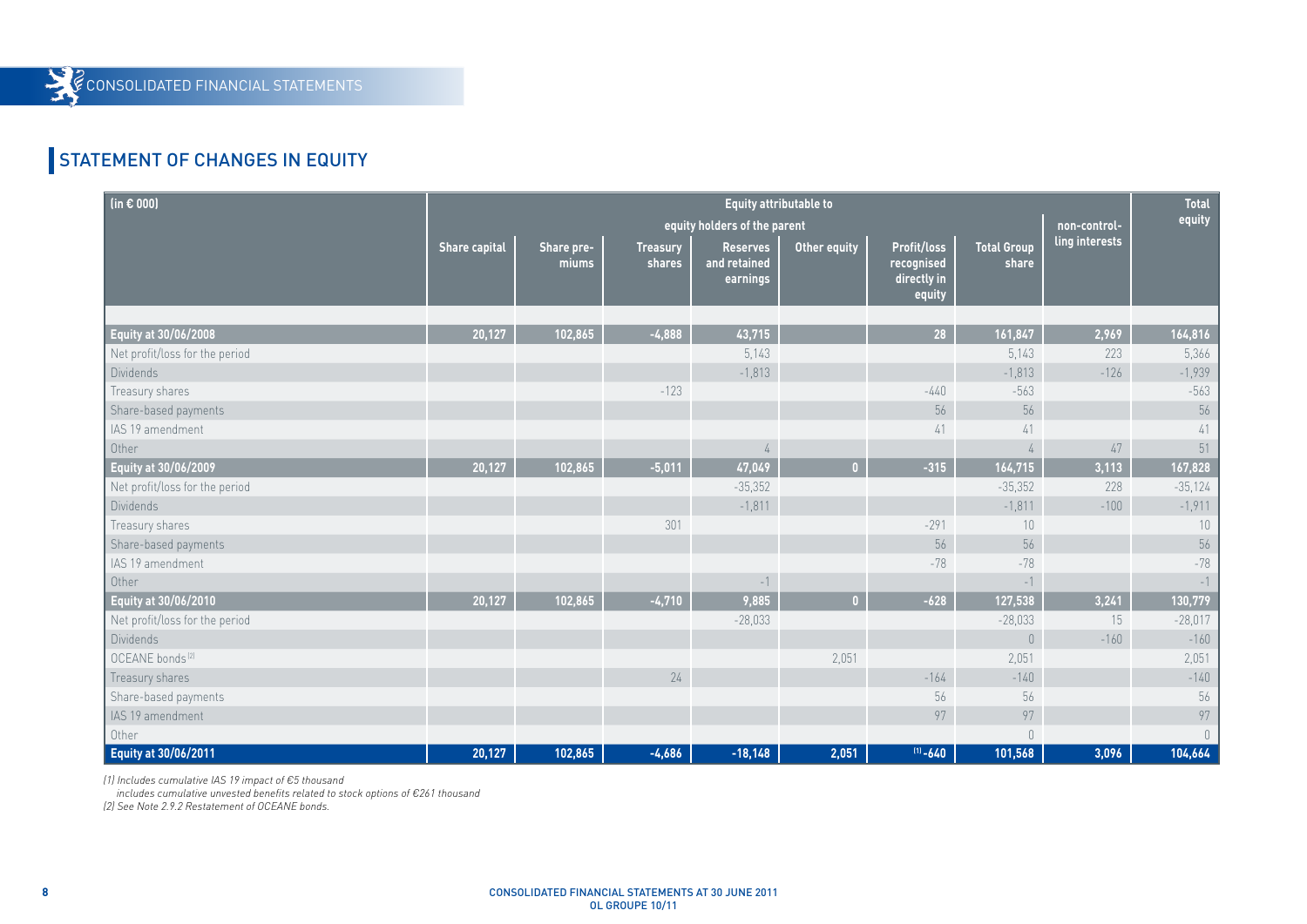# STATEMENT OF CHANGES IN EQUITY

Y

| (in $\epsilon$ 000)            | Equity attributable to<br>equity holders of the parent<br>non-control- |                     |                           |                                             |              | <b>Total</b><br>equity                             |                                       |                |           |
|--------------------------------|------------------------------------------------------------------------|---------------------|---------------------------|---------------------------------------------|--------------|----------------------------------------------------|---------------------------------------|----------------|-----------|
|                                | <b>Share capital</b>                                                   | Share pre-<br>miums | <b>Treasury</b><br>shares | <b>Reserves</b><br>and retained<br>earnings | Other equity | Profit/loss<br>recognised<br>directly in<br>equity | <b>Total Group</b><br>share           | ling interests |           |
|                                |                                                                        |                     |                           |                                             |              |                                                    |                                       |                |           |
| Equity at 30/06/2008           | 20,127                                                                 | 102,865             | $-4,888$                  | 43,715                                      |              | 28                                                 | 161,847                               | 2,969          | 164,816   |
| Net profit/loss for the period |                                                                        |                     |                           | 5,143                                       |              |                                                    | 5,143                                 | 223            | 5,366     |
| Dividends                      |                                                                        |                     |                           | $-1,813$                                    |              |                                                    | $-1,813$                              | $-126$         | $-1,939$  |
| Treasury shares                |                                                                        |                     | $-123$                    |                                             |              | $-440$                                             | $-563$                                |                | $-563$    |
| Share-based payments           |                                                                        |                     |                           |                                             |              | 56                                                 | 56                                    |                | 56        |
| IAS 19 amendment               |                                                                        |                     |                           |                                             |              | 41                                                 | 41                                    |                | 41        |
| Other                          |                                                                        |                     |                           | 4                                           |              |                                                    | $\sqrt{4}$                            | 47             | 51        |
| Equity at 30/06/2009           | 20,127                                                                 | 102,865             | $-5,011$                  | 47,049                                      | $\mathbf{0}$ | $-315$                                             | 164,715                               | 3,113          | 167,828   |
| Net profit/loss for the period |                                                                        |                     |                           | $-35,352$                                   |              |                                                    | $-35,352$                             | 228            | $-35,124$ |
| <b>Dividends</b>               |                                                                        |                     |                           | $-1,811$                                    |              |                                                    | $-1,811$                              | $-100$         | $-1,911$  |
| Treasury shares                |                                                                        |                     | 301                       |                                             |              | $-291$                                             | 10                                    |                | $10\,$    |
| Share-based payments           |                                                                        |                     |                           |                                             |              | 56                                                 | 56                                    |                | 56        |
| IAS 19 amendment               |                                                                        |                     |                           |                                             |              | $-78$                                              | $-78$                                 |                | $-78$     |
| Other                          |                                                                        |                     |                           | $-1$                                        |              |                                                    | $-1$                                  |                | $-1$      |
| Equity at 30/06/2010           | 20,127                                                                 | 102,865             | $-4,710$                  | 9,885                                       | $\mathbf{0}$ | $-628$                                             | 127,538                               | 3,241          | 130,779   |
| Net profit/loss for the period |                                                                        |                     |                           | $-28,033$                                   |              |                                                    | $-28,033$                             | 15             | $-28,017$ |
| <b>Dividends</b>               |                                                                        |                     |                           |                                             |              |                                                    | $\begin{array}{c} 0 \\ 0 \end{array}$ | $-160$         | $-160$    |
| OCEANE bonds <sup>(2)</sup>    |                                                                        |                     |                           |                                             | 2,051        |                                                    | 2,051                                 |                | 2,051     |
| Treasury shares                |                                                                        |                     | 24                        |                                             |              | $-164$                                             | $-140$                                |                | $-140$    |
| Share-based payments           |                                                                        |                     |                           |                                             |              | 56                                                 | 56                                    |                | 56        |
| IAS 19 amendment               |                                                                        |                     |                           |                                             |              | 97                                                 | 97                                    |                | 97        |
| Other                          |                                                                        |                     |                           |                                             |              |                                                    | $\cup$                                |                | $\Box$    |
| Equity at 30/06/2011           | 20,127                                                                 | 102,865             | $-4,686$                  | $-18,148$                                   | 2,051        | $(11 - 640)$                                       | 101,568                               | 3,096          | 104,664   |

*(1) Includes cumulative IAS 19 impact of €5 thousand*

 *includes cumulative unvested benefits related to stock options of €261 thousand* 

*(2) See Note 2.9.2 Restatement of OCEANE bonds.*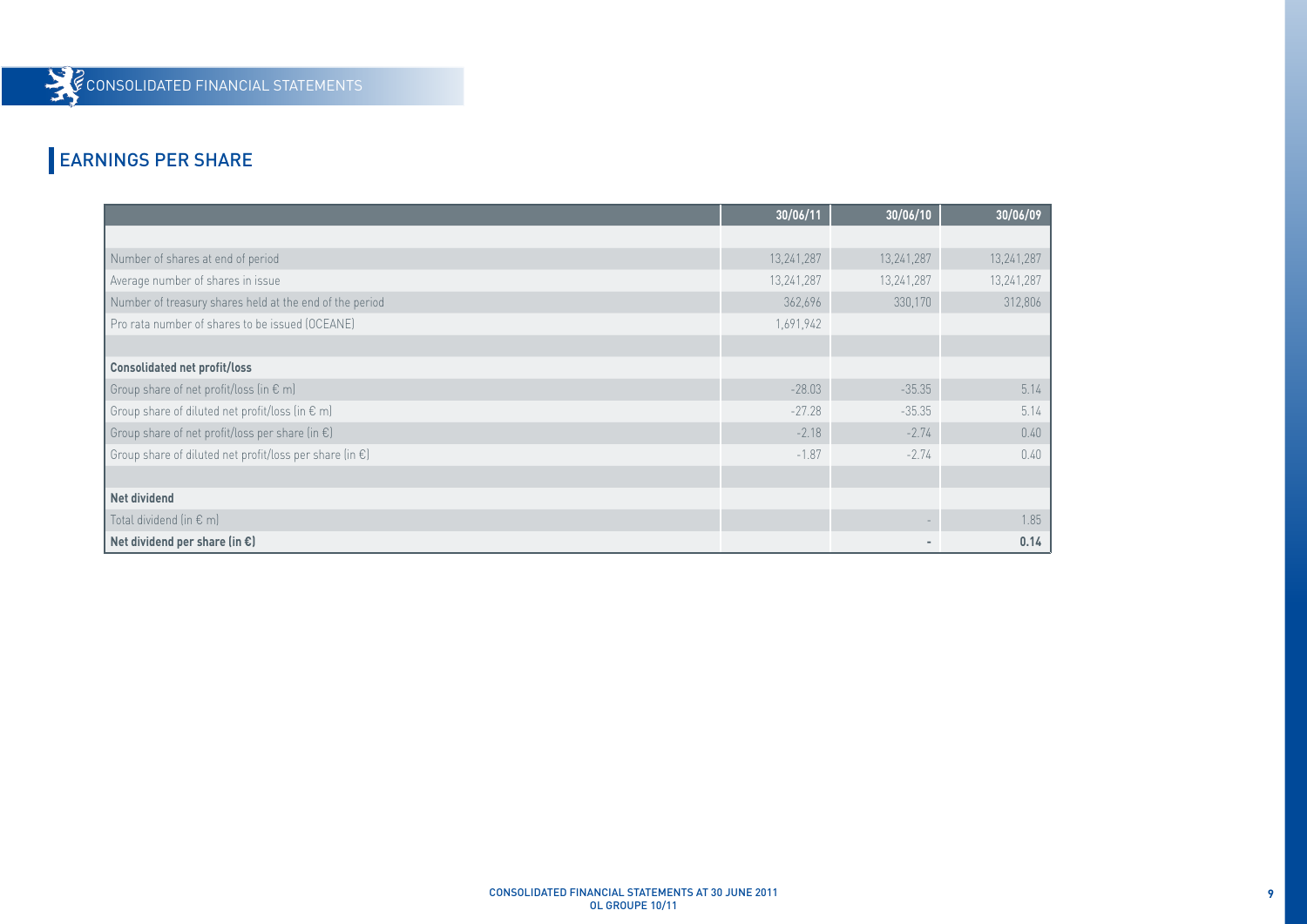### EARNINGS PER SHARE

|                                                                   | 30/06/11   | 30/06/10   | 30/06/09   |
|-------------------------------------------------------------------|------------|------------|------------|
|                                                                   |            |            |            |
| Number of shares at end of period                                 | 13,241,287 | 13,241,287 | 13,241,287 |
| Average number of shares in issue                                 | 13,241,287 | 13,241,287 | 13,241,287 |
| Number of treasury shares held at the end of the period           | 362,696    | 330,170    | 312,806    |
| Pro rata number of shares to be issued (OCEANE)                   | 1,691,942  |            |            |
|                                                                   |            |            |            |
| <b>Consolidated net profit/loss</b>                               |            |            |            |
| Group share of net profit/loss (in € m)                           | $-28.03$   | $-35.35$   | 5.14       |
| Group share of diluted net profit/loss (in € m)                   | $-27.28$   | $-35.35$   | 5.14       |
| Group share of net profit/loss per share (in $\epsilon$ )         | $-2.18$    | $-2.74$    | 0.40       |
| Group share of diluted net profit/loss per share (in $\epsilon$ ) | $-1.87$    | $-2.74$    | 0.40       |
|                                                                   |            |            |            |
| Net dividend                                                      |            |            |            |
| Total dividend (in $\epsilon$ m)                                  |            |            | 1.85       |
| Net dividend per share (in $\epsilon$ )                           |            |            | 0.14       |